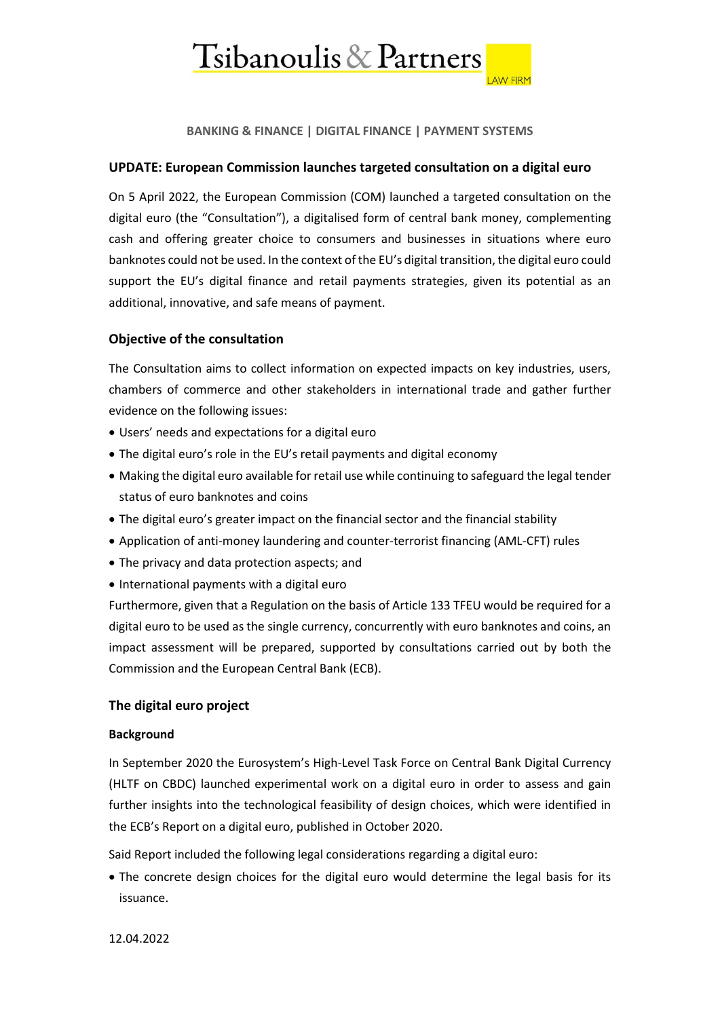

**BANKING & FINANCE | DIGITAL FINANCE | PAYMENT SYSTEMS**

## **UPDATE: European Commission launches targeted consultation on a digital euro**

On 5 April 2022, the European Commission (COM) launched a targeted consultation on the digital euro (the "Consultation"), a digitalised form of central bank money, complementing cash and offering greater choice to consumers and businesses in situations where euro banknotes could not be used. In the context of the EU's digital transition, the digital euro could support the EU's digital finance and retail payments strategies, given its potential as an additional, innovative, and safe means of payment.

## **Objective of the consultation**

The Consultation aims to collect information on expected impacts on key industries, users, chambers of commerce and other stakeholders in international trade and gather further evidence on the following issues:

- Users' needs and expectations for a digital euro
- The digital euro's role in the EU's retail payments and digital economy
- Making the digital euro available for retail use while continuing to safeguard the legal tender status of euro banknotes and coins
- The digital euro's greater impact on the financial sector and the financial stability
- Application of anti-money laundering and counter-terrorist financing (AML-CFT) rules
- The privacy and data protection aspects; and
- International payments with a digital euro

Furthermore, given that a Regulation on the basis of Article 133 TFEU would be required for a digital euro to be used as the single currency, concurrently with euro banknotes and coins, an impact assessment will be prepared, supported by consultations carried out by both the Commission and the European Central Bank (ECB).

### **The digital euro project**

### **Background**

In September 2020 the Eurosystem's High-Level Task Force on Central Bank Digital Currency (HLTF on CBDC) launched experimental work on a digital euro in order to assess and gain further insights into the technological feasibility of design choices, which were identified in the ECB's Report on a digital euro, published in October 2020.

Said Report included the following legal considerations regarding a digital euro:

• The concrete design choices for the digital euro would determine the legal basis for its issuance.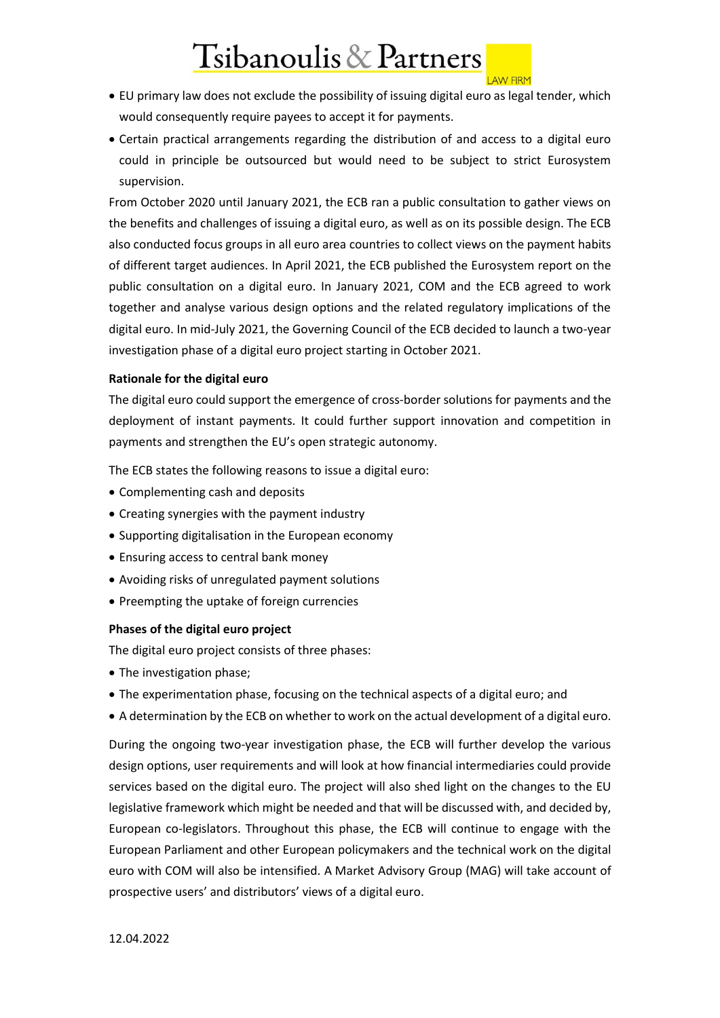# Tsibanoulis & Partners

#### **LAW FIRM**

- EU primary law does not exclude the possibility of issuing digital euro as legal tender, which would consequently require payees to accept it for payments.
- Certain practical arrangements regarding the distribution of and access to a digital euro could in principle be outsourced but would need to be subject to strict Eurosystem supervision.

From October 2020 until January 2021, the ECB ran a public consultation to gather views on the benefits and challenges of issuing a digital euro, as well as on its possible design. The ECB also conducted focus groups in all euro area countries to collect views on the payment habits of different target audiences. In April 2021, the ECB published the Eurosystem report on the public consultation on a digital euro. In January 2021, COM and the ECB agreed to work together and analyse various design options and the related regulatory implications of the digital euro. In mid-July 2021, the Governing Council of the ECB decided to launch a two-year investigation phase of a digital euro project starting in October 2021.

### **Rationale for the digital euro**

The digital euro could support the emergence of cross-border solutions for payments and the deployment of instant payments. It could further support innovation and competition in payments and strengthen the EU's open strategic autonomy.

The ECB states the following reasons to issue a digital euro:

- Complementing cash and deposits
- Creating synergies with the payment industry
- Supporting digitalisation in the European economy
- Ensuring access to central bank money
- Avoiding risks of unregulated payment solutions
- Preempting the uptake of foreign currencies

### **Phases of the digital euro project**

The digital euro project consists of three phases:

- The investigation phase;
- The experimentation phase, focusing on the technical aspects of a digital euro; and
- A determination by the ECB on whether to work on the actual development of a digital euro.

During the ongoing two-year investigation phase, the ECB will further develop the various design options, user requirements and will look at how financial intermediaries could provide services based on the digital euro. The project will also shed light on the changes to the EU legislative framework which might be needed and that will be discussed with, and decided by, European co-legislators. Throughout this phase, the ECB will continue to engage with the European Parliament and other European policymakers and the technical work on the digital euro with COM will also be intensified. A Market Advisory Group (MAG) will take account of prospective users' and distributors' views of a digital euro.